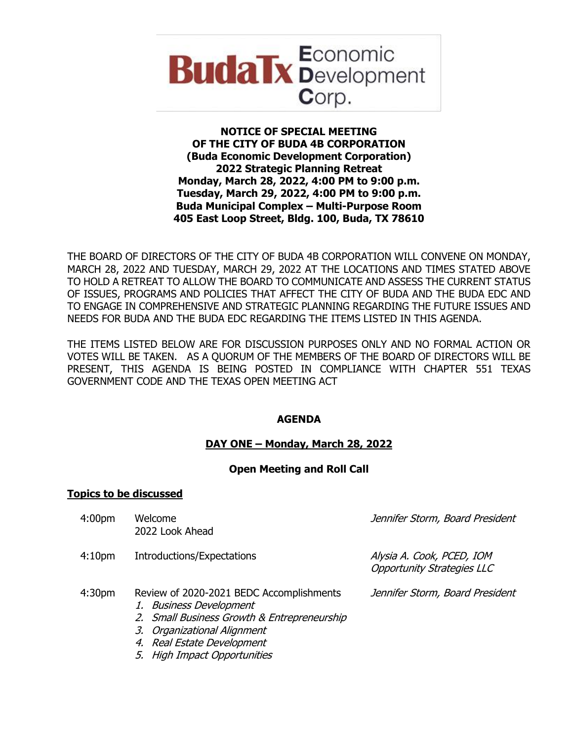

## **NOTICE OF SPECIAL MEETING OF THE CITY OF BUDA 4B CORPORATION (Buda Economic Development Corporation) 2022 Strategic Planning Retreat Monday, March 28, 2022, 4:00 PM to 9:00 p.m. Tuesday, March 29, 2022, 4:00 PM to 9:00 p.m. Buda Municipal Complex – Multi-Purpose Room 405 East Loop Street, Bldg. 100, Buda, TX 78610**

THE BOARD OF DIRECTORS OF THE CITY OF BUDA 4B CORPORATION WILL CONVENE ON MONDAY, MARCH 28, 2022 AND TUESDAY, MARCH 29, 2022 AT THE LOCATIONS AND TIMES STATED ABOVE TO HOLD A RETREAT TO ALLOW THE BOARD TO COMMUNICATE AND ASSESS THE CURRENT STATUS OF ISSUES, PROGRAMS AND POLICIES THAT AFFECT THE CITY OF BUDA AND THE BUDA EDC AND TO ENGAGE IN COMPREHENSIVE AND STRATEGIC PLANNING REGARDING THE FUTURE ISSUES AND NEEDS FOR BUDA AND THE BUDA EDC REGARDING THE ITEMS LISTED IN THIS AGENDA.

THE ITEMS LISTED BELOW ARE FOR DISCUSSION PURPOSES ONLY AND NO FORMAL ACTION OR VOTES WILL BE TAKEN. AS A QUORUM OF THE MEMBERS OF THE BOARD OF DIRECTORS WILL BE PRESENT, THIS AGENDA IS BEING POSTED IN COMPLIANCE WITH CHAPTER 551 TEXAS GOVERNMENT CODE AND THE TEXAS OPEN MEETING ACT

# **AGENDA**

# **DAY ONE – Monday, March 28, 2022**

### **Open Meeting and Roll Call**

### **Topics to be discussed**

| 4:00 <sub>pm</sub> | Welcome<br>2022 Look Ahead                                                                                                                                                                                       | Jennifer Storm, Board President                                |
|--------------------|------------------------------------------------------------------------------------------------------------------------------------------------------------------------------------------------------------------|----------------------------------------------------------------|
| 4:10 <sub>pm</sub> | Introductions/Expectations                                                                                                                                                                                       | Alysia A. Cook, PCED, IOM<br><b>Opportunity Strategies LLC</b> |
| 4:30 <sub>pm</sub> | Review of 2020-2021 BEDC Accomplishments<br>1. Business Development<br>2. Small Business Growth & Entrepreneurship<br>3. Organizational Alignment<br>4. Real Estate Development<br>$E$ Uich Impact Opportunities | Jennifer Storm, Board President                                |

5. High Impact Opportunities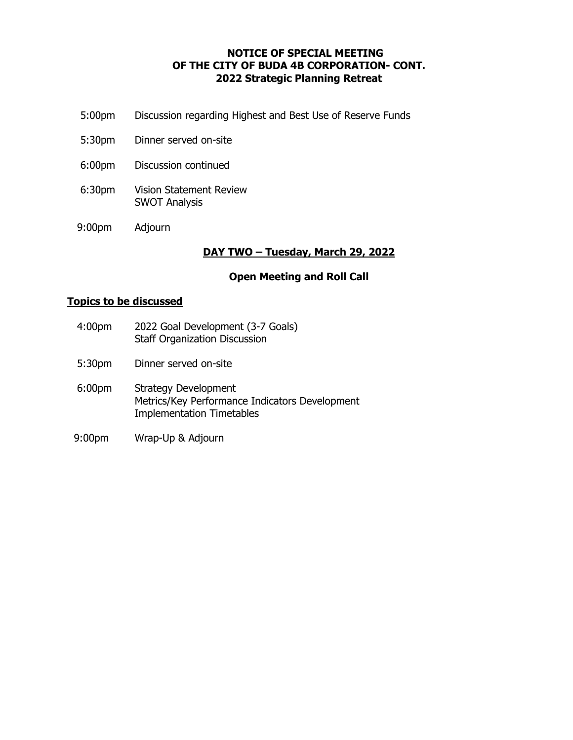# **NOTICE OF SPECIAL MEETING OF THE CITY OF BUDA 4B CORPORATION- CONT. 2022 Strategic Planning Retreat**

- 5:00pm Discussion regarding Highest and Best Use of Reserve Funds
- 5:30pm Dinner served on-site
- 6:00pm Discussion continued
- 6:30pm Vision Statement Review SWOT Analysis
- 9:00pm Adjourn

### **DAY TWO – Tuesday, March 29, 2022**

### **Open Meeting and Roll Call**

#### **Topics to be discussed**

- 4:00pm 2022 Goal Development (3-7 Goals) Staff Organization Discussion
- 5:30pm Dinner served on-site
- 6:00pm Strategy Development Metrics/Key Performance Indicators Development Implementation Timetables
- 9:00pm Wrap-Up & Adjourn